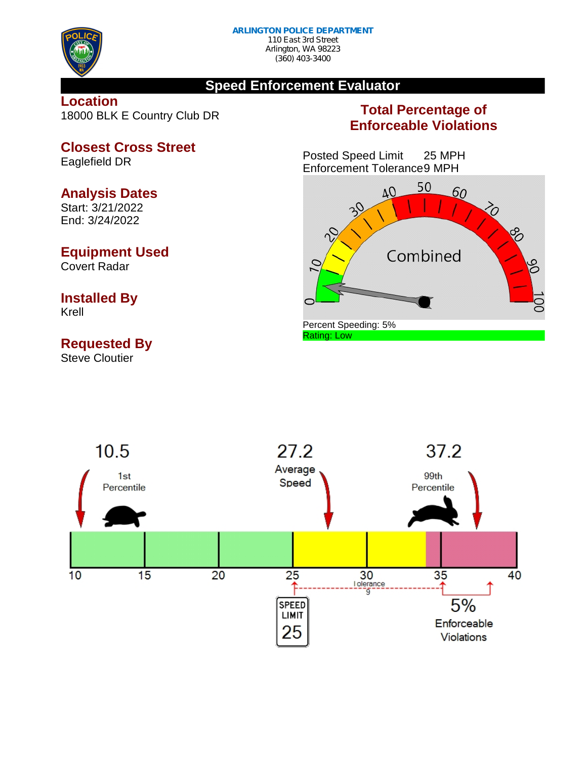

(360) 403-3400

### **Speed Enforcement Evaluator**

**Location** 18000 BLK E Country Club DR

### **Closest Cross Street** Eaglefield DR

### **Analysis Dates**

Start: 3/21/2022 End: 3/24/2022

# **Equipment Used**

Covert Radar

#### **Installed By** Krell

## **Requested By**

Steve Cloutier

### **Total Percentage of Enforceable Violations**

Posted Speed Limit 25 MPH Enforcement Tolerance9 MPH